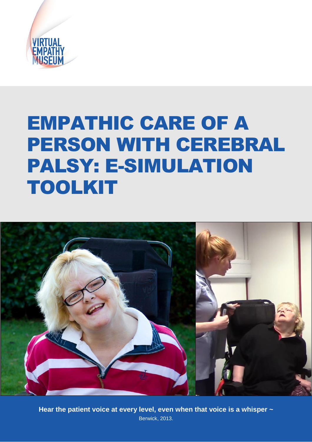

# EMPATHIC CARE OF A PERSON WITH CEREBRAL PALSY: E-SIMULATION TOOLKIT



**1** Hear the patient voice at every level, even when that voice is a whisper  $\sim$ Berwick, 2013.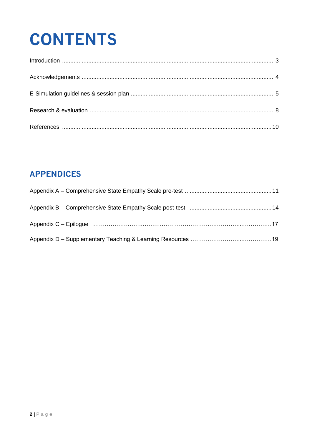# **CONTENTS**

## **APPENDICES**

| Appendix C – Epilogue (and according continuum control of the control of the control of the control of the control of the control of the control of the control of the control of the control of the control of the control of |  |
|--------------------------------------------------------------------------------------------------------------------------------------------------------------------------------------------------------------------------------|--|
|                                                                                                                                                                                                                                |  |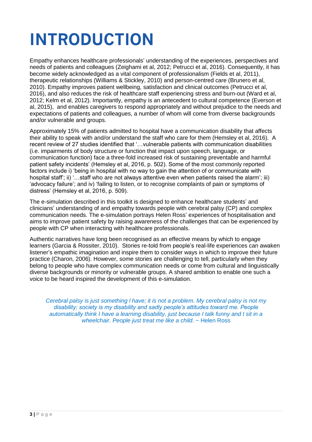# **INTRODUCTION**

Empathy enhances healthcare professionals' understanding of the experiences, perspectives and needs of patients and colleagues (Zeighami et al, 2012; Petrucci et al, 2016). Consequently, it has become widely acknowledged as a vital component of professionalism (Fields et al, 2011), therapeutic relationships (Williams & Stickley, 2010) and person-centred care (Brunero et al, 2010). Empathy improves patient wellbeing, satisfaction and clinical outcomes (Petrucci et al, 2016), and also reduces the risk of healthcare staff experiencing stress and burn-out (Ward et al, 2012; Kelm et al, 2012). Importantly, empathy is an antecedent to cultural competence (Everson et al, 2015), and enables caregivers to respond appropriately and without prejudice to the needs and expectations of patients and colleagues, a number of whom will come from diverse backgrounds and/or vulnerable and groups.

Approximately 15% of patients admitted to hospital have a communication disability that affects their ability to speak with and/or understand the staff who care for them (Hemsley et al, 2016). A recent review of 27 studies identified that '…vulnerable patients with communication disabilities (i.e. impairments of body structure or function that impact upon speech, language, or communication function) face a three-fold increased risk of sustaining preventable and harmful patient safety incidents' (Hemsley et al, 2016, p. 502). Some of the most commonly reported factors include i) 'being in hospital with no way to gain the attention of or communicate with hospital staff'; ii) '...staff who are not always attentive even when patients raised the alarm'; iii) 'advocacy failure'; and iv) 'failing to listen, or to recognise complaints of pain or symptoms of distress' (Hemsley et al, 2016, p. 509).

The e-simulation described in this toolkit is designed to enhance healthcare students' and clinicians' understanding of and empathy towards people with cerebral palsy (CP) and complex communication needs. The e-simulation portrays Helen Ross' experiences of hospitalisation and aims to improve patient safety by raising awareness of the challenges that can be experienced by people with CP when interacting with healthcare professionals.

Authentic narratives have long been recognised as an effective means by which to engage learners (Garcia & Rossiter, 2010). Stories re-told from people's real-life experiences can awaken listener's empathic imagination and inspire them to consider ways in which to improve their future practice (Charon, 2006). However, some stories are challenging to tell, particularly when they belong to people who have complex communication needs or come from cultural and linguistically diverse backgrounds or minority or vulnerable groups. A shared ambition to enable one such a voice to be heard inspired the development of this e-simulation.

*Cerebral palsy is just something l have; it is not a problem. My cerebral palsy is not my disability; society is my disability and sadly people's attitudes toward me. People automatically think I have a learning disability, just because I talk funny and I sit in a wheelchair. People just treat me like a child*. ~ Helen Ross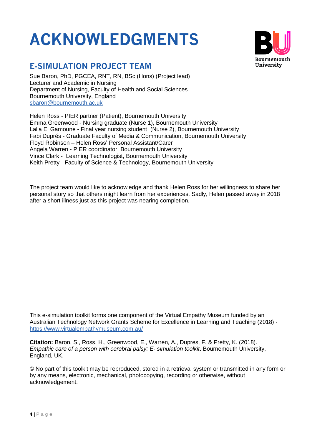# **ACKNOWLEDGMENTS**



## **E-SIMULATION PROJECT TEAM**

Sue Baron, PhD, PGCEA, RNT, RN, BSc (Hons) (Project lead) Lecturer and Academic in Nursing Department of Nursing, Faculty of Health and Social Sciences Bournemouth University, England [sbaron@bournemouth.ac.uk](mailto:sbaron@bournemouth.ac.uk)

Helen Ross - PIER partner (Patient), Bournemouth University Emma Greenwood - Nursing graduate (Nurse 1), Bournemouth University Lalla El Gamoune - Final year nursing student (Nurse 2), Bournemouth University Fabi Duprés - Graduate Faculty of Media & Communication, Bournemouth University Floyd Robinson – Helen Ross' Personal Assistant/Carer Angela Warren - PIER coordinator, Bournemouth University Vince Clark - Learning Technologist, Bournemouth University Keith Pretty - Faculty of Science & Technology, Bournemouth University

The project team would like to acknowledge and thank Helen Ross for her willingness to share her personal story so that others might learn from her experiences. Sadly, Helen passed away in 2018 after a short illness just as this project was nearing completion.

This e-simulation toolkit forms one component of the Virtual Empathy Museum funded by an Australian Technology Network Grants Scheme for Excellence in Learning and Teaching (2018) <https://www.virtualempathymuseum.com.au/>

**Citation:** Baron, S., Ross, H., Greenwood, E., Warren, A., Dupres, F. & Pretty, K. (2018). *Empathic care of a person with cerebral palsy: E- simulation toolkit*. Bournemouth University, England, UK.

© No part of this toolkit may be reproduced, stored in a retrieval system or transmitted in any form or by any means, electronic, mechanical, photocopying, recording or otherwise, without acknowledgement.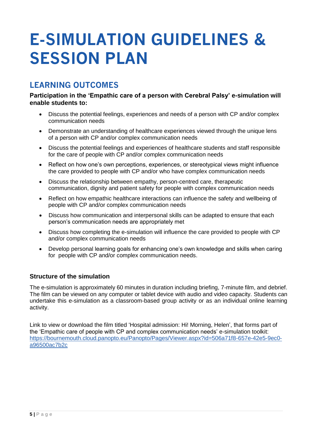# **E-SIMULATION GUIDELINES & SESSION PLAN**

## **LEARNING OUTCOMES**

### **Participation in the 'Empathic care of a person with Cerebral Palsy' e-simulation will enable students to:**

- Discuss the potential feelings, experiences and needs of a person with CP and/or complex communication needs
- Demonstrate an understanding of healthcare experiences viewed through the unique lens of a person with CP and/or complex communication needs
- Discuss the potential feelings and experiences of healthcare students and staff responsible for the care of people with CP and/or complex communication needs
- Reflect on how one's own perceptions, experiences, or stereotypical views might influence the care provided to people with CP and/or who have complex communication needs
- Discuss the relationship between empathy, person-centred care, therapeutic communication, dignity and patient safety for people with complex communication needs
- Reflect on how empathic healthcare interactions can influence the safety and wellbeing of people with CP and/or complex communication needs
- Discuss how communication and interpersonal skills can be adapted to ensure that each person's communication needs are appropriately met
- Discuss how completing the e-simulation will influence the care provided to people with CP and/or complex communication needs
- Develop personal learning goals for enhancing one's own knowledge and skills when caring for people with CP and/or complex communication needs.

### **Structure of the simulation**

The e-simulation is approximately 60 minutes in duration including briefing, 7-minute film, and debrief. The film can be viewed on any computer or tablet device with audio and video capacity. Students can undertake this e-simulation as a classroom-based group activity or as an individual online learning activity.

Link to view or download the film titled 'Hospital admission: Hi! Morning, Helen', that forms part of the 'Empathic care of people with CP and complex communication needs' e-simulation toolkit: [https://bournemouth.cloud.panopto.eu/Panopto/Pages/Viewer.aspx?id=506a71f8-657e-42e5-9ec0](https://bournemouth.cloud.panopto.eu/Panopto/Pages/Viewer.aspx?id=506a71f8-657e-42e5-9ec0-a96500ac7b2c) [a96500ac7b2c](https://bournemouth.cloud.panopto.eu/Panopto/Pages/Viewer.aspx?id=506a71f8-657e-42e5-9ec0-a96500ac7b2c)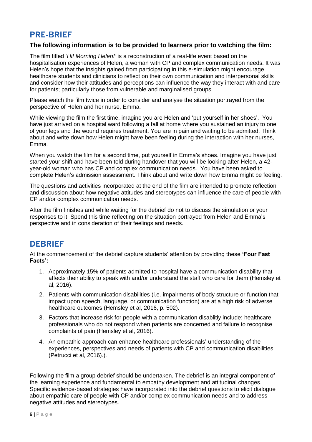## **PRE-BRIEF**

### **The following information is to be provided to learners prior to watching the film:**

The film titled '*Hi! Morning Helen!'* is a reconstruction of a real-life event based on the hospitalisation experiences of Helen, a woman with CP and complex communication needs. It was Helen's hope that the insights gained from participating in this e-simulation might encourage healthcare students and clinicians to reflect on their own communication and interpersonal skills and consider how their attitudes and perceptions can influence the way they interact with and care for patients; particularly those from vulnerable and marginalised groups.

Please watch the film twice in order to consider and analyse the situation portrayed from the perspective of Helen and her nurse, Emma.

While viewing the film the first time, imagine you are Helen and 'put yourself in her shoes'. You have just arrived on a hospital ward following a fall at home where you sustained an injury to one of your legs and the wound requires treatment. You are in pain and waiting to be admitted. Think about and write down how Helen might have been feeling during the interaction with her nurses, Emma.

When you watch the film for a second time, put yourself in Emma's shoes. Imagine you have just started your shift and have been told during handover that you will be looking after Helen, a 42 year-old woman who has CP and complex communication needs. You have been asked to complete Helen's admission assessment. Think about and write down how Emma might be feeling.

The questions and activities incorporated at the end of the film are intended to promote reflection and discussion about how negative attitudes and stereotypes can influence the care of people with CP and/or complex communication needs.

After the film finishes and while waiting for the debrief do not to discuss the simulation or your responses to it. Spend this time reflecting on the situation portrayed from Helen and Emma's perspective and in consideration of their feelings and needs.

## **DEBRIEF**

At the commencement of the debrief capture students' attention by providing these **'Four Fast Facts':**

- 1. Approximately 15% of patients admitted to hospital have a communication disability that affects their ability to speak with and/or understand the staff who care for them (Hemsley et al, 2016).
- 2. Patients with communication disabilities (i.e. impairments of body structure or function that impact upon speech, language, or communication function) are at a high risk of adverse healthcare outcomes (Hemsley et al, 2016, p. 502).
- 3. Factors that increase risk for people with a communication disablitiy include: healthcare professionals who do not respond when patients are concerned and failure to recognise complaints of pain (Hemsley et al, 2016).
- 4. An empathic approach can enhance healthcare professionals' understanding of the experiences, perspectives and needs of patients with CP and communication disabilities (Petrucci et al, 2016).).

Following the film a group debrief should be undertaken. The debrief is an integral component of the learning experience and fundamental to empathy development and attitudinal changes. Specific evidence-based strategies have incorporated into the debrief questions to elicit dialogue about empathic care of people with CP and/or complex communication needs and to address negative attitudes and stereotypes.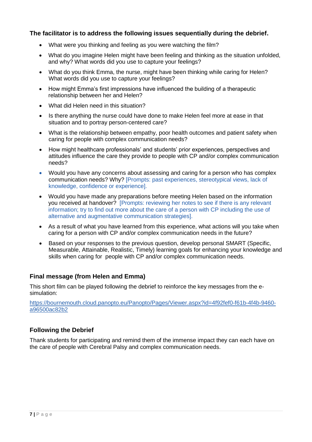### **The facilitator is to address the following issues sequentially during the debrief.**

- What were you thinking and feeling as you were watching the film?
- What do you imagine Helen might have been feeling and thinking as the situation unfolded, and why? What words did you use to capture your feelings?
- What do you think Emma, the nurse, might have been thinking while caring for Helen? What words did you use to capture your feelings?
- How might Emma's first impressions have influenced the building of a therapeutic relationship between her and Helen?
- What did Helen need in this situation?
- Is there anything the nurse could have done to make Helen feel more at ease in that situation and to portray person-centered care?
- What is the relationship between empathy, poor health outcomes and patient safety when caring for people with complex communication needs?
- How might healthcare professionals' and students' prior experiences, perspectives and attitudes influence the care they provide to people with CP and/or complex communication needs?
- Would you have any concerns about assessing and caring for a person who has complex communication needs? Why? [Prompts: past experiences, stereotypical views, lack of knowledge, confidence or experience].
- Would you have made any preparations before meeting Helen based on the information you received at handover? [Prompts: reviewing her notes to see if there is any relevant information; try to find out more about the care of a person with CP including the use of alternative and augmentative communication strategies].
- As a result of what you have learned from this experience, what actions will you take when caring for a person with CP and/or complex communication needs in the future?
- Based on your responses to the previous question, develop personal SMART (Specific, Measurable, Attainable, Realistic, Timely) learning goals for enhancing your knowledge and skills when caring for people with CP and/or complex communication needs.

### **Final message (from Helen and Emma)**

This short film can be played following the debrief to reinforce the key messages from the esimulation:

[https://bournemouth.cloud.panopto.eu/Panopto/Pages/Viewer.aspx?id=4f92fef0-f61b-4f4b-9460](https://bournemouth.cloud.panopto.eu/Panopto/Pages/Viewer.aspx?id=4f92fef0-f61b-4f4b-9460-a96500ac82b2) [a96500ac82b2](https://bournemouth.cloud.panopto.eu/Panopto/Pages/Viewer.aspx?id=4f92fef0-f61b-4f4b-9460-a96500ac82b2)

### **Following the Debrief**

Thank students for participating and remind them of the immense impact they can each have on the care of people with Cerebral Palsy and complex communication needs.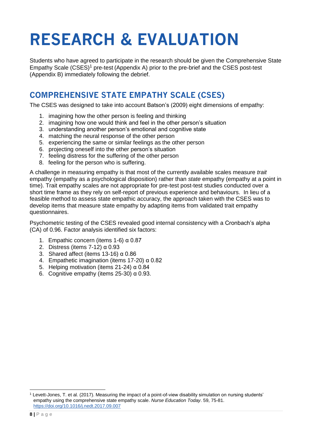# **RESEARCH & EVALUATION**

Students who have agreed to participate in the research should be given the Comprehensive State Empathy Scale  $(CSES)^1$  pre-test (Appendix A) prior to the pre-brief and the CSES post-test (Appendix B) immediately following the debrief.

## **COMPREHENSIVE STATE EMPATHY SCALE (CSES)**

The CSES was designed to take into account Batson's (2009) eight dimensions of empathy:

- 1. imagining how the other person is feeling and thinking
- 2. imagining how one would think and feel in the other person's situation
- 3. understanding another person's emotional and cognitive state
- 4. matching the neural response of the other person
- 5. experiencing the same or similar feelings as the other person
- 6. projecting oneself into the other person's situation
- 7. feeling distress for the suffering of the other person
- 8. feeling for the person who is suffering.

A challenge in measuring empathy is that most of the currently available scales measure *trait*  empathy (empathy as a psychological disposition) rather than *state* empathy (empathy at a point in time). Trait empathy scales are not appropriate for pre-test post-test studies conducted over a short time frame as they rely on self-report of previous experience and behaviours. In lieu of a feasible method to assess state empathic accuracy, the approach taken with the CSES was to develop items that measure state empathy by adapting items from validated trait empathy questionnaires.

Psychometric testing of the CSES revealed good internal consistency with a Cronbach's alpha (CA) of 0.96. Factor analysis identified six factors:

- 1. Empathic concern (items 1-6) α 0.87
- 2. Distress (items 7-12) α 0.93
- 3. Shared affect (items 13-16) α 0.86
- 4. Empathetic imagination (items 17-20) α 0.82
- 5. Helping motivation (items 21-24) α 0.84
- 6. Cognitive empathy (items  $25-30$ )  $\alpha$  0.93.

 $1$  Levett-Jones, T. et al. (2017). Measuring the impact of a point-of-view disability simulation on nursing students' empathy using the comprehensive state empathy scale. *Nurse Education Today*. 59, 75-81. <https://doi.org/10.1016/j.nedt.2017.09.007>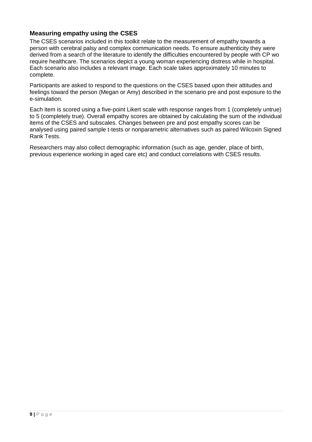### **Measuring empathy using the CSES**

The CSES scenarios included in this toolkit relate to the measurement of empathy towards a person with cerebral palsy and complex communication needs. To ensure authenticity they were derived from a search of the literature to identify the difficulties encountered by people with CP wo require healthcare. The scenarios depict a young woman experiencing distress while in hospital. Each scenario also includes a relevant image. Each scale takes approximately 10 minutes to complete.

Participants are asked to respond to the questions on the CSES based upon their attitudes and feelings toward the person (Megan or Amy) described in the scenario pre and post exposure to the e-simulation.

Each item is scored using a five-point Likert scale with response ranges from 1 (completely untrue) to 5 (completely true). Overall empathy scores are obtained by calculating the sum of the individual items of the CSES and subscales. Changes between pre and post empathy scores can be analysed using paired sample t-tests or nonparametric alternatives such as paired Wilcoxin Signed Rank Tests.

Researchers may also collect demographic information (such as age, gender, place of birth, previous experience working in aged care etc) and conduct correlations with CSES results.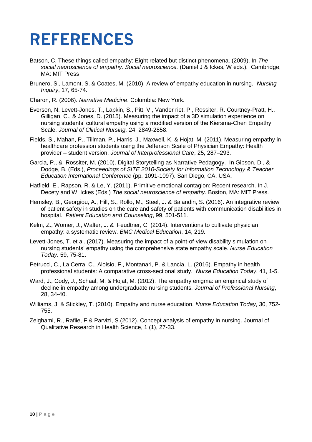# **REFERENCES**

- Batson, C. These things called empathy: Eight related but distinct phenomena. (2009). In *The social neuroscience of empathy. Social neuroscience.* (Daniel J & Ickes, W eds.). Cambridge, MA: MIT Press
- Brunero, S., Lamont, S. & Coates, M. (2010). A review of empathy education in nursing. *Nursing Inquiry*, 17, 65-74.
- Charon, R. (2006). *Narrative Medicine*. Columbia: New York.
- Everson, N. Levett-Jones, T., Lapkin, S., Pitt, V., Vander riet, P., Rossiter, R. Courtney-Pratt, H., Gilligan, C., & Jones, D. (2015). Measuring the impact of a 3D simulation experience on nursing students' cultural empathy using a modified version of the Kiersma-Chen Empathy Scale. *Journal of Clinical Nursing,* 24, 2849-2858.
- Fields, S., Mahan, P., Tillman, P., Harris, J., Maxwell, K. & Hojat, M. (2011). Measuring empathy in healthcare profession students using the Jefferson Scale of Physician Empathy: Health provider – student version. *Journal of Interprofessional Care*, 25, 287–293.
- Garcia, P., & Rossiter, M. (2010). Digital Storytelling as Narrative Pedagogy. In Gibson, D., & Dodge, B. (Eds.), *Proceedings of SITE 2010-Society for Information Technology & Teacher Education International Conference* (pp. 1091-1097). San Diego, CA, USA.
- Hatfield, E., Rapson, R. & Le, Y. (2011). Primitive emotional contagion: Recent research. In J. Decety and W. Ickes (Eds.) *The social neuroscience of empathy*. Boston, MA: MIT Press.
- Hemsley, B., Georgiou, A., Hill, S., Rollo, M., Steel, J. & Balandin, S. (2016). An integrative review of patient safety in studies on the care and safety of patients with communication disabilities in hospital. *Patient Education and Counseling*, 99, 501-511.
- Kelm, Z., Womer, J., Walter, J. & Feudtner, C. (2014). Interventions to cultivate physician empathy: a systematic review. *BMC Medical Education*, 14, 219.
- Levett-Jones, T. et al. (2017). Measuring the impact of a point-of-view disability simulation on nursing students' empathy using the comprehensive state empathy scale. *Nurse Education Today*. 59, 75-81.
- Petrucci, C., La Cerra, C., Aloisio, F., Montanari, P. & Lancia, L. (2016). Empathy in health professional students: A comparative cross-sectional study. *Nurse Education Today*, 41, 1-5.
- Ward, J., Cody, J., Schaal, M. & Hojat, M. (2012). The empathy enigma: an empirical study of decline in empathy among undergraduate nursing students. *Journal of Professional Nursing*, 28, 34-40.
- Williams, J. & Stickley, T. (2010). Empathy and nurse education. *Nurse Education Today*, 30, 752- 755.
- Zeighami, R., Rafiie, F.& Parvizi, S.(2012). Concept analysis of empathy in nursing. Journal of Qualitative Research in Health Science, 1 (1), 27-33.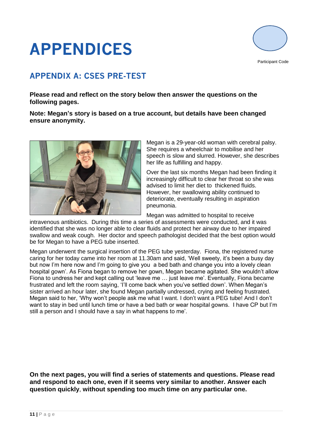# **APPENDICES**



Participant Code

# **APPENDIX A: CSES PRE-TEST**

**Please read and reflect on the story below then answer the questions on the following pages.** 

**Note: Megan's story is based on a true account, but details have been changed ensure anonymity.**



Megan is a 29-year-old woman with cerebral palsy. She requires a wheelchair to mobilise and her speech is slow and slurred. However, she describes her life as fulfilling and happy.

Over the last six months Megan had been finding it increasingly difficult to clear her throat so she was advised to limit her diet to thickened fluids. However, her swallowing ability continued to deteriorate, eventually resulting in aspiration pneumonia.

Megan was admitted to hospital to receive

intravenous antibiotics. During this time a series of assessments were conducted, and it was identified that she was no longer able to clear fluids and protect her airway due to her impaired swallow and weak cough. Her doctor and speech pathologist decided that the best option would be for Megan to have a PEG tube inserted.

Megan underwent the surgical insertion of the PEG tube yesterday. Fiona, the registered nurse caring for her today came into her room at 11.30am and said, 'Well sweety, it's been a busy day but now I'm here now and I'm going to give you a bed bath and change you into a lovely clean hospital gown'. As Fiona began to remove her gown, Megan became agitated. She wouldn't allow Fiona to undress her and kept calling out 'leave me … just leave me'. Eventually, Fiona became frustrated and left the room saying, 'I'll come back when you've settled down'. When Megan's sister arrived an hour later, she found Megan partially undressed, crying and feeling frustrated. Megan said to her, 'Why won't people ask me what I want. I don't want a PEG tube! And I don't want to stay in bed until lunch time or have a bed bath or wear hospital gowns. I have CP but I'm still a person and I should have a say in what happens to me'.

**On the next pages, you will find a series of statements and questions. Please read and respond to each one, even if it seems very similar to another. Answer each question quickly**, **without spending too much time on any particular one.**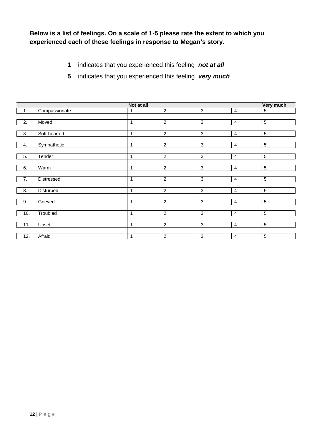**Below is a list of feelings. On a scale of 1-5 please rate the extent to which you experienced each of these feelings in response to Megan's story.** 

- **1** indicates that you experienced this feeling *not at all*
- **5** indicates that you experienced this feeling *very much*

|                  |                  | Not at all   |                  |                |                | Very much      |
|------------------|------------------|--------------|------------------|----------------|----------------|----------------|
| $\overline{1}$ . | Compassionate    | 1            | $\overline{2}$   | $\overline{3}$ | $\overline{4}$ | $\sqrt{5}$     |
|                  |                  |              |                  |                |                |                |
| $\overline{2}$ . | Moved            | 1            | $\overline{2}$   | $\mathbf{3}$   | $\overline{4}$ | 5              |
|                  |                  |              |                  |                |                |                |
| 3.               | Soft-hearted     | 1            | $\overline{2}$   | $\sqrt{3}$     | 4              | $\sqrt{5}$     |
|                  |                  |              |                  |                |                |                |
| 4.               | Sympathetic      | 1            | $\boldsymbol{2}$ | $\mathbf{3}$   | 4              | $\sqrt{5}$     |
|                  |                  |              |                  |                |                |                |
| 5.               | Tender           | 1            | $\overline{2}$   | $\mathbf{3}$   | 4              | $\sqrt{5}$     |
|                  |                  |              |                  |                |                |                |
| 6.               | Warm             | $\mathbf{1}$ | $\overline{2}$   | $\mathbf{3}$   | $\overline{4}$ | $\sqrt{5}$     |
|                  |                  |              |                  |                |                |                |
| $\overline{7}$ . | Distressed       | 1            | $\overline{2}$   | 3              | 4              | 5              |
|                  |                  |              |                  |                |                |                |
| 8.               | <b>Disturbed</b> | $\mathbf 1$  | $\overline{2}$   | $\overline{3}$ | $\overline{4}$ | $\overline{5}$ |
|                  |                  |              |                  |                |                |                |
| 9.               | Grieved          | 1            | $\overline{2}$   | 3              | $\overline{4}$ | 5              |
|                  |                  |              |                  |                |                |                |
| 10.              | Troubled         | 1            | $\overline{2}$   | 3              | $\overline{4}$ | 5              |
|                  |                  |              |                  |                |                |                |
| 11.              | Upset            | 1            | $\overline{2}$   | 3              | 4              | $\sqrt{5}$     |
|                  |                  |              |                  |                |                |                |
| 12.              | Afraid           | 1            | $\overline{2}$   | 3              | 4              | 5              |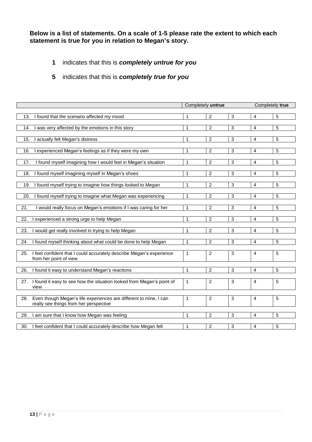**Below is a list of statements. On a scale of 1-5 please rate the extent to which each statement is true for you in relation to Megan's story.** 

- **1** indicates that this is *completely untrue for you*
- **5** indicates that this is *completely true for you*

|                                                                              | Completely untrue |                  |                |                         | Completely true |  |
|------------------------------------------------------------------------------|-------------------|------------------|----------------|-------------------------|-----------------|--|
|                                                                              |                   |                  |                |                         |                 |  |
| 13.<br>I found that the scenario affected my mood                            | 1                 | $\overline{2}$   | 3              | $\overline{4}$          | $\sqrt{5}$      |  |
| 14.<br>was very affected by the emotions in this story                       | 1                 | $\overline{2}$   | 3              | $\overline{4}$          | 5               |  |
|                                                                              |                   |                  |                |                         |                 |  |
| 15.<br>actually felt Megan's distress                                        | $\mathbf{1}$      | $\overline{2}$   | $\overline{3}$ | 4                       | $\overline{5}$  |  |
|                                                                              |                   |                  |                |                         |                 |  |
| experienced Megan's feelings as if they were my own<br>16.                   | 1                 | $\overline{2}$   | 3              | $\overline{4}$          | 5               |  |
|                                                                              |                   |                  |                |                         |                 |  |
| I found myself imagining how I would feel in Megan's situation<br>17.        | 1                 | $\boldsymbol{2}$ | $\sqrt{3}$     | $\overline{4}$          | $\sqrt{5}$      |  |
| I found myself imagining myself in Megan's shoes<br>18.                      | 1                 | $\overline{2}$   | 3              | 4                       | 5               |  |
|                                                                              |                   |                  |                |                         |                 |  |
| 19.<br>I found myself trying to imagine how things looked to Megan           | 1                 | $\overline{2}$   | 3              | 4                       | 5               |  |
|                                                                              |                   |                  |                |                         |                 |  |
| I found myself trying to imagine what Megan was experiencing<br>20.          | 1                 | $\overline{c}$   | $\overline{3}$ | $\overline{\mathbf{4}}$ | $\sqrt{5}$      |  |
|                                                                              |                   |                  |                |                         |                 |  |
| 21.<br>I would really focus on Megan's emotions if I was caring for her      | 1                 | $\overline{c}$   | 3              | 4                       | 5               |  |
| 22.                                                                          | 1                 | $\overline{2}$   | $\overline{3}$ | $\overline{4}$          | $\sqrt{5}$      |  |
| experienced a strong urge to help Megan                                      |                   |                  |                |                         |                 |  |
| 23.<br>would get really involved in trying to help Megan                     | 1                 | $\overline{2}$   | 3              | $\overline{4}$          | 5               |  |
|                                                                              |                   |                  |                |                         |                 |  |
| 24.<br>I found myself thinking about what could be done to help Megan        | 1                 | $\overline{c}$   | 3              | $\overline{4}$          | 5               |  |
|                                                                              |                   |                  |                |                         |                 |  |
| I feel confident that I could accurately describe Megan's experience<br>25.  | 1                 | $\overline{a}$   | 3              | $\overline{4}$          | 5               |  |
| from her point of view                                                       |                   |                  |                |                         |                 |  |
| 26.<br>I found it easy to understand Megan's reactions                       | 1                 | $\overline{a}$   | 3              | $\overline{\mathbf{4}}$ | 5               |  |
|                                                                              |                   |                  |                |                         |                 |  |
| I found it easy to see how the situation looked from Megan's point of<br>27. | 1                 | $\overline{2}$   | 3              | $\overline{4}$          | 5               |  |
| view                                                                         |                   |                  |                |                         |                 |  |
|                                                                              |                   |                  |                |                         |                 |  |
| Even though Megan's life experiences are different to mine, I can<br>28.     | 1                 | $\overline{2}$   | 3              | $\overline{4}$          | 5               |  |
| really see things from her perspective                                       |                   |                  |                |                         |                 |  |
| 29.<br>I am sure that I know how Megan was feeling                           | 1                 | $\overline{2}$   | $\sqrt{3}$     | $\overline{4}$          | 5               |  |
|                                                                              |                   |                  |                |                         |                 |  |
| I feel confident that I could accurately describe how Megan felt<br>30.      | 1                 | 2                | 3              | 4                       | 5               |  |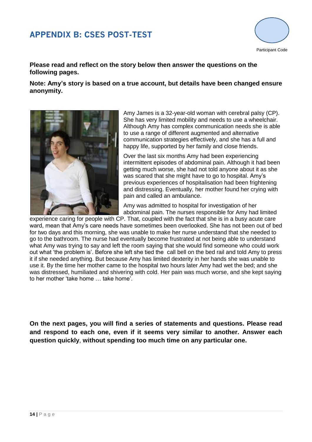## **APPENDIX B: CSES POST-TEST**



### **Please read and reflect on the story below then answer the questions on the following pages.**

**Note: Amy's story is based on a true account, but details have been changed ensure anonymity.**



Amy James is a 32-year-old woman with cerebral palsy (CP). She has very limited mobility and needs to use a wheelchair. Although Amy has complex communication needs she is able to use a range of different augmented and alternative communication strategies effectively, and she has a full and happy life, supported by her family and close friends.

Over the last six months Amy had been experiencing intermittent episodes of abdominal pain. Although it had been getting much worse, she had not told anyone about it as she was scared that she might have to go to hospital. Amy's previous experiences of hospitalisation had been frightening and distressing. Eventually, her mother found her crying with pain and called an ambulance.

Amy was admitted to hospital for investigation of her abdominal pain. The nurses responsible for Amy had limited

experience caring for people with CP. That, coupled with the fact that she is in a busy acute care ward, mean that Amy's care needs have sometimes been overlooked. She has not been out of bed for two days and this morning, she was unable to make her nurse understand that she needed to go to the bathroom. The nurse had eventually become frustrated at not being able to understand what Amy was trying to say and left the room saying that she would find someone who could work out what 'the problem is'. Before she left she tied the call bell on the bed rail and told Amy to press it if she needed anything. But because Amy has limited dexterity in her hands she was unable to use it. By the time her mother came to the hospital two hours later Amy had wet the bed; and she was distressed, humiliated and shivering with cold. Her pain was much worse, and she kept saying to her mother 'take home … take home'.

**On the next pages, you will find a series of statements and questions. Please read and respond to each one, even if it seems very similar to another. Answer each question quickly**, **without spending too much time on any particular one.**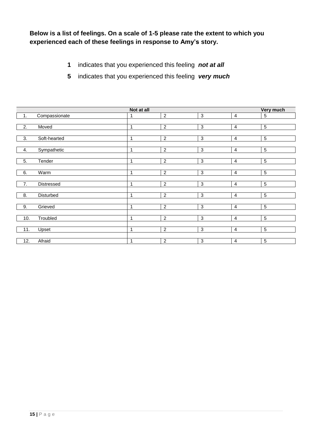**Below is a list of feelings. On a scale of 1-5 please rate the extent to which you experienced each of these feelings in response to Amy's story.** 

- **1** indicates that you experienced this feeling *not at all*
- **5** indicates that you experienced this feeling *very much*

|                  |               | Not at all  |                |                |                | Very much      |
|------------------|---------------|-------------|----------------|----------------|----------------|----------------|
| $\overline{1}$ . | Compassionate | 1           | $\overline{2}$ | 3              | 4              | $\sqrt{5}$     |
|                  |               |             |                |                |                |                |
| 2.               | Moved         | $\mathbf 1$ | $\overline{2}$ | 3              | 4              | 5              |
|                  |               |             |                |                |                |                |
| 3.               | Soft-hearted  | 1           | $\overline{2}$ | 3              | 4              | $\sqrt{5}$     |
|                  |               |             |                |                |                |                |
| $\frac{4}{ }$    | Sympathetic   | 1           | $\overline{2}$ | $\mathbf{3}$   | $\overline{4}$ | $5\,$          |
|                  |               |             |                |                |                |                |
| 5.               | Tender        | 1           | $\overline{2}$ | $\mathbf{3}$   | 4              | $\,$ 5 $\,$    |
|                  |               |             |                |                |                |                |
| 6.               | Warm          | $\mathbf 1$ | $\overline{2}$ | $\mathbf{3}$   | 4              | $\sqrt{5}$     |
|                  |               |             |                |                |                |                |
| 7.               | Distressed    | $\mathbf 1$ | $\overline{2}$ | $\mathbf{3}$   | $\overline{4}$ | 5              |
|                  |               |             |                |                |                |                |
| 8.               | Disturbed     | $\mathbf 1$ | $\overline{2}$ | 3              | 4              | 5              |
|                  |               |             |                |                |                |                |
| 9.               | Grieved       | 1           | $\overline{2}$ | $\overline{3}$ | $\overline{4}$ | $\sqrt{5}$     |
|                  |               |             |                |                |                |                |
| 10.              | Troubled      | 1           | $\overline{2}$ | $\overline{3}$ | 4              | $\overline{5}$ |
|                  |               |             |                |                |                |                |
| 11.              | Upset         | 1           | $\overline{2}$ | 3              | $\overline{4}$ | 5              |
|                  |               |             |                |                |                |                |
| 12.              | Afraid        | 1           | $\overline{2}$ | $\mathbf{3}$   | 4              | $\sqrt{5}$     |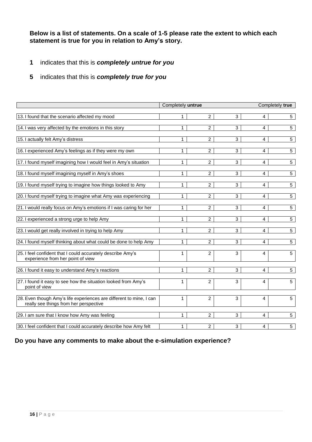**Below is a list of statements. On a scale of 1-5 please rate the extent to which each statement is true for you in relation to Amy's story.** 

- **1** indicates that this is *completely untrue for you*
- **5** indicates that this is *completely true for you*

|                                                                                                               | Completely untrue |                |                | Completely true |                 |  |
|---------------------------------------------------------------------------------------------------------------|-------------------|----------------|----------------|-----------------|-----------------|--|
| 13. I found that the scenario affected my mood                                                                | 1                 | $\overline{2}$ | 3              | 4               | 5 <sup>5</sup>  |  |
| 14. I was very affected by the emotions in this story                                                         | 1                 | $\overline{2}$ | $\overline{3}$ | 4               | $5\overline{)}$ |  |
| 15. I actually felt Amy's distress                                                                            | 1                 | $\overline{2}$ | 3              | 4               | 5               |  |
| 16. I experienced Amy's feelings as if they were my own                                                       | 1                 | $\overline{2}$ | 3              | 4               | $5^{\circ}$     |  |
| 17. I found myself imagining how I would feel in Amy's situation                                              | 1                 | $\overline{2}$ | 3              | 4               | 5 <sup>5</sup>  |  |
| 18. I found myself imagining myself in Amy's shoes                                                            | $\mathbf{1}$      | $\overline{2}$ | $\overline{3}$ | 4               | $5\overline{)}$ |  |
| 19. I found myself trying to imagine how things looked to Amy                                                 | 1                 | 2              | 3              | 4               | 5 <sup>5</sup>  |  |
| 20. I found myself trying to imagine what Amy was experiencing                                                | 1                 | $\overline{2}$ | 3              | 4               | 5               |  |
| 21. I would really focus on Amy's emotions if I was caring for her                                            | 1                 | $\overline{2}$ | 3              | 4               | 5               |  |
| 22. I experienced a strong urge to help Amy                                                                   | 1                 | $\overline{2}$ | $\overline{3}$ | 4               | 5               |  |
| 23. I would get really involved in trying to help Amy                                                         | 1                 | $\overline{2}$ | 3              | 4               | 5               |  |
| 24. I found myself thinking about what could be done to help Amy                                              | 1                 | 2              | 3              | 4               | 5               |  |
| 25. I feel confident that I could accurately describe Amy's<br>experience from her point of view              | 1                 | $\overline{2}$ | 3              | 4               | 5               |  |
| 26. I found it easy to understand Amy's reactions                                                             | 1                 | $\overline{2}$ | 3              | 4               | 5               |  |
| 27. I found it easy to see how the situation looked from Amy's<br>point of view                               | 1                 | 2              | 3              | 4               | 5               |  |
| 28. Even though Amy's life experiences are different to mine, I can<br>really see things from her perspective | 1                 | 2              | 3              | 4               | 5               |  |
| 29. I am sure that I know how Amy was feeling                                                                 | 1                 | $\overline{2}$ | 3              | 4               | 5               |  |
| 30. I feel confident that I could accurately describe how Amy felt                                            | $\mathbf{1}$      | $\overline{2}$ | 3              | 4               | 5               |  |

### **Do you have any comments to make about the e-simulation experience?**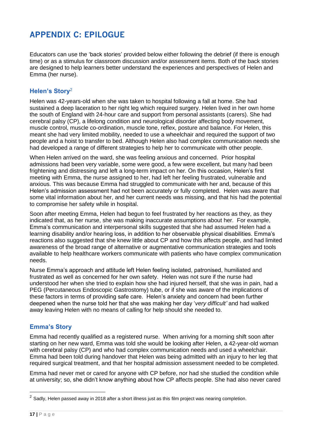## **APPENDIX C: EPILOGUE**

Educators can use the 'back stories' provided below either following the debrief (if there is enough time) or as a stimulus for classroom discussion and/or assessment items. Both of the back stories are designed to help learners better understand the experiences and perspectives of Helen and Emma (her nurse).

## **Helen's Story**<sup>2</sup>

Helen was 42-years-old when she was taken to hospital following a fall at home. She had sustained a deep laceration to her right leg which required surgery. Helen lived in her own home the south of England with 24-hour care and support from personal assistants (carers). She had cerebral palsy (CP), a lifelong condition and neurological disorder affecting body movement, muscle control, muscle co-ordination, muscle tone, reflex, posture and balance. For Helen, this meant she had very limited mobility, needed to use a wheelchair and required the support of two people and a hoist to transfer to bed. Although Helen also had complex communication needs she had developed a range of different strategies to help her to communicate with other people.

When Helen arrived on the ward, she was feeling anxious and concerned. Prior hospital admissions had been very variable, some were good, a few were excellent, but many had been frightening and distressing and left a long-term impact on her. On this occasion, Helen's first meeting with Emma, the nurse assigned to her, had left her feeling frustrated, vulnerable and anxious. This was because Emma had struggled to communicate with her and, because of this Helen's admission assessment had not been accurately or fully completed. Helen was aware that some vital information about her, and her current needs was missing, and that his had the potential to compromise her safety while in hospital.

Soon after meeting Emma, Helen had begun to feel frustrated by her reactions as they, as they indicated that, as her nurse, she was making inaccurate assumptions about her. For example, Emma's communication and interpersonal skills suggested that she had assumed Helen had a learning disability and/or hearing loss, in addition to her observable physical disabilities. Emma's reactions also suggested that she knew little about CP and how this affects people, and had limited awareness of the broad range of alternative or augmentative communication strategies and tools available to help healthcare workers communicate with patients who have complex communication needs.

Nurse Emma's approach and attitude left Helen feeling isolated, patronised, humiliated and frustrated as well as concerned for her own safety. Helen was not sure if the nurse had understood her when she tried to explain how she had injured herself, that she was in pain, had a PEG (Percutaneous Endoscopic Gastrostomy) tube, or if she was aware of the implications of these factors in terms of providing safe care. Helen's anxiety and concern had been further deepened when the nurse told her that she was making her day '*very difficult'* and had walked away leaving Helen with no means of calling for help should she needed to.

### **Emma's Story**

Emma had recently qualified as a registered nurse. When arriving for a morning shift soon after starting on her new ward, Emma was told she would be looking after Helen, a 42-year-old woman with cerebral palsy (CP) and who had complex communication needs and used a wheelchair. Emma had been told during handover that Helen was being admitted with an injury to her leg that required surgical treatment, and that her hospital admission assessment needed to be completed.

Emma had never met or cared for anyone with CP before, nor had she studied the condition while at university; so, she didn't know anything about how CP affects people. She had also never cared

 $\overline{a}$ 

<sup>&</sup>lt;sup>2</sup> Sadly, Helen passed away in 2018 after a short illness just as this film project was nearing completion.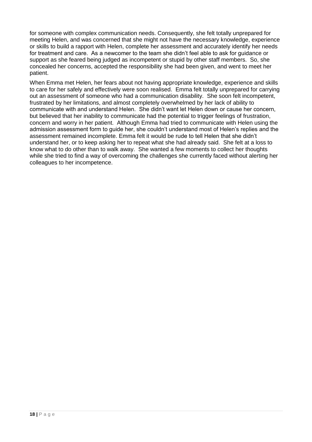for someone with complex communication needs. Consequently, she felt totally unprepared for meeting Helen, and was concerned that she might not have the necessary knowledge, experience or skills to build a rapport with Helen, complete her assessment and accurately identify her needs for treatment and care. As a newcomer to the team she didn't feel able to ask for guidance or support as she feared being judged as incompetent or stupid by other staff members. So, she concealed her concerns, accepted the responsibility she had been given, and went to meet her patient.

When Emma met Helen, her fears about not having appropriate knowledge, experience and skills to care for her safely and effectively were soon realised. Emma felt totally unprepared for carrying out an assessment of someone who had a communication disability. She soon felt incompetent, frustrated by her limitations, and almost completely overwhelmed by her lack of ability to communicate with and understand Helen. She didn't want let Helen down or cause her concern, but believed that her inability to communicate had the potential to trigger feelings of frustration, concern and worry in her patient. Although Emma had tried to communicate with Helen using the admission assessment form to guide her, she couldn't understand most of Helen's replies and the assessment remained incomplete. Emma felt it would be rude to tell Helen that she didn't understand her, or to keep asking her to repeat what she had already said. She felt at a loss to know what to do other than to walk away. She wanted a few moments to collect her thoughts while she tried to find a way of overcoming the challenges she currently faced without alerting her colleagues to her incompetence.